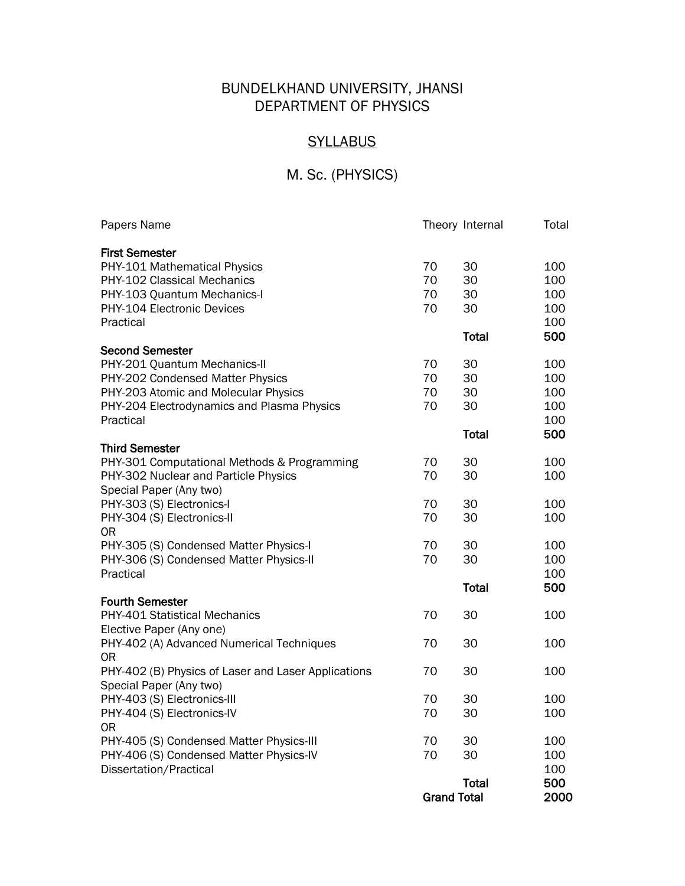# BUNDELKHAND UNIVERSITY, JHANSI DEPARTMENT OF PHYSICS

## **SYLLABUS**

# M. Sc. (PHYSICS)

|                                                                                                                                                        | <b>Grand Total</b>   |                      | 2000                            |
|--------------------------------------------------------------------------------------------------------------------------------------------------------|----------------------|----------------------|---------------------------------|
| Dissertation/Practical                                                                                                                                 |                      | <b>Total</b>         | 100<br>500                      |
| PHY-405 (S) Condensed Matter Physics-III<br>PHY-406 (S) Condensed Matter Physics-IV                                                                    | 70<br>70             | 30<br>30             | 100<br>100                      |
| PHY-404 (S) Electronics-IV<br><b>OR</b>                                                                                                                | 70                   | 30                   | 100                             |
| PHY-403 (S) Electronics-III                                                                                                                            | 70                   | 30                   | 100                             |
| PHY-402 (B) Physics of Laser and Laser Applications<br>Special Paper (Any two)                                                                         | 70                   | 30                   | 100                             |
| PHY-402 (A) Advanced Numerical Techniques<br>0R                                                                                                        | 70                   | 30                   | 100                             |
| PHY-401 Statistical Mechanics<br>Elective Paper (Any one)                                                                                              | 70                   | 30                   | 100                             |
| <b>Fourth Semester</b>                                                                                                                                 |                      | <b>Total</b>         | 500                             |
| PHY-305 (S) Condensed Matter Physics-I<br>PHY-306 (S) Condensed Matter Physics-II<br>Practical                                                         | 70<br>70             | 30<br>30             | 100<br>100<br>100               |
| PHY-304 (S) Electronics-II<br><b>OR</b>                                                                                                                | 70                   | 30                   | 100                             |
| Special Paper (Any two)<br>PHY-303 (S) Electronics-I                                                                                                   | 70                   | 30                   | 100                             |
| <b>Third Semester</b><br>PHY-301 Computational Methods & Programming<br>PHY-302 Nuclear and Particle Physics                                           | 70<br>70             | 30<br>30             | 100<br>100                      |
| Practical                                                                                                                                              |                      | <b>Total</b>         | 100<br>500                      |
| PHY-201 Quantum Mechanics-II<br>PHY-202 Condensed Matter Physics<br>PHY-203 Atomic and Molecular Physics<br>PHY-204 Electrodynamics and Plasma Physics | 70<br>70<br>70<br>70 | 30<br>30<br>30<br>30 | 100<br>100<br>100<br>100        |
| Second Semester                                                                                                                                        |                      | Total                | 500                             |
| PHY-101 Mathematical Physics<br>PHY-102 Classical Mechanics<br>PHY-103 Quantum Mechanics-I<br>PHY-104 Electronic Devices<br>Practical                  | 70<br>70<br>70<br>70 | 30<br>30<br>30<br>30 | 100<br>100<br>100<br>100<br>100 |
| Papers Name<br><b>First Semester</b>                                                                                                                   |                      | Theory Internal      | Total                           |
|                                                                                                                                                        |                      |                      |                                 |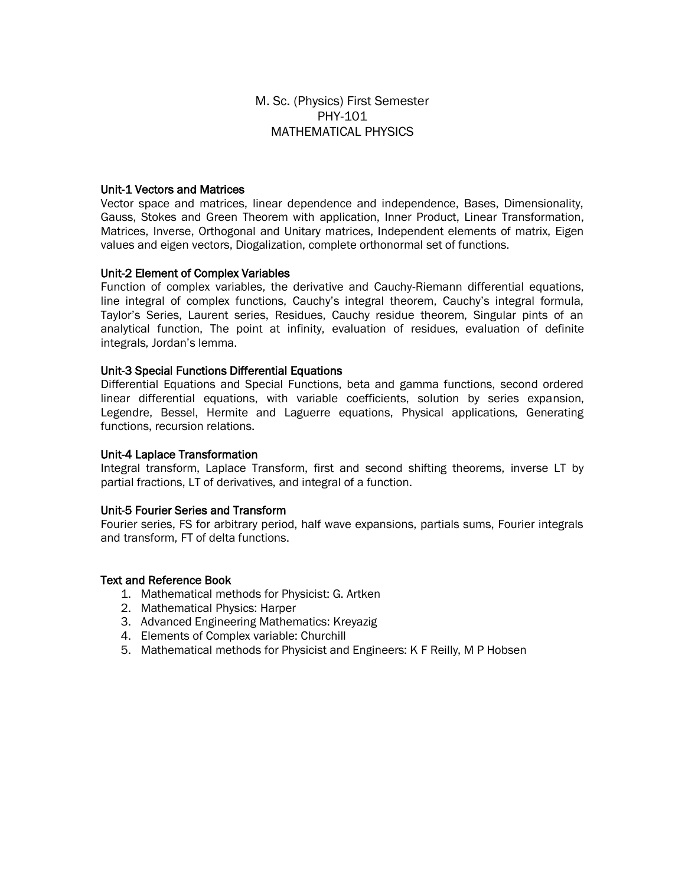### M. Sc. (Physics) First Semester PHY-101 MATHEMATICAL PHYSICS

#### Unit-1 Vectors and Matrices

Vector space and matrices, linear dependence and independence, Bases, Dimensionality, Gauss, Stokes and Green Theorem with application, Inner Product, Linear Transformation, Matrices, Inverse, Orthogonal and Unitary matrices, Independent elements of matrix, Eigen values and eigen vectors, Diogalization, complete orthonormal set of functions.

#### Unit-2 Element of Complex Variables

Function of complex variables, the derivative and Cauchy-Riemann differential equations, line integral of complex functions, Cauchy's integral theorem, Cauchy's integral formula, Taylor's Series, Laurent series, Residues, Cauchy residue theorem, Singular pints of an analytical function, The point at infinity, evaluation of residues, evaluation of definite integrals, Jordan's lemma.

#### Unit-3 Special Functions Differential Equations

Differential Equations and Special Functions, beta and gamma functions, second ordered linear differential equations, with variable coefficients, solution by series expansion, Legendre, Bessel, Hermite and Laguerre equations, Physical applications, Generating functions, recursion relations.

#### Unit-4 Laplace Transformation

Integral transform, Laplace Transform, first and second shifting theorems, inverse LT by partial fractions, LT of derivatives, and integral of a function.

### Unit-5 Fourier Series and Transform

Fourier series, FS for arbitrary period, half wave expansions, partials sums, Fourier integrals and transform, FT of delta functions.

- 1. Mathematical methods for Physicist: G. Artken
- 2. Mathematical Physics: Harper
- 3. Advanced Engineering Mathematics: Kreyazig
- 4. Elements of Complex variable: Churchill
- 5. Mathematical methods for Physicist and Engineers: K F Reilly, M P Hobsen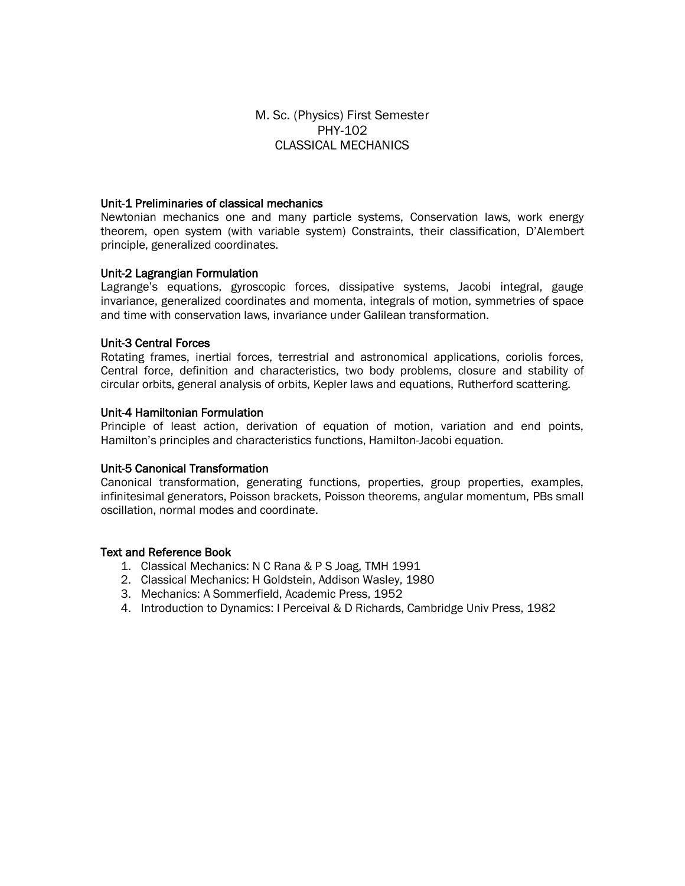### M. Sc. (Physics) First Semester PHY-102 CLASSICAL MECHANICS

#### Unit-1 Preliminaries of classical mechanics

Newtonian mechanics one and many particle systems, Conservation laws, work energy theorem, open system (with variable system) Constraints, their classification, D'Alembert principle, generalized coordinates.

### Unit-2 Lagrangian Formulation

Lagrange's equations, gyroscopic forces, dissipative systems, Jacobi integral, gauge invariance, generalized coordinates and momenta, integrals of motion, symmetries of space and time with conservation laws, invariance under Galilean transformation.

#### Unit-3 Central Forces

Rotating frames, inertial forces, terrestrial and astronomical applications, coriolis forces, Central force, definition and characteristics, two body problems, closure and stability of circular orbits, general analysis of orbits, Kepler laws and equations, Rutherford scattering.

### Unit-4 Hamiltonian Formulation

Principle of least action, derivation of equation of motion, variation and end points, Hamilton's principles and characteristics functions, Hamilton-Jacobi equation.

### Unit-5 Canonical Transformation

Canonical transformation, generating functions, properties, group properties, examples, infinitesimal generators, Poisson brackets, Poisson theorems, angular momentum, PBs small oscillation, normal modes and coordinate.

- 1. Classical Mechanics: N C Rana & P S Joag, TMH 1991
- 2. Classical Mechanics: H Goldstein, Addison Wasley, 1980
- 3. Mechanics: A Sommerfield, Academic Press, 1952
- 4. Introduction to Dynamics: I Perceival & D Richards, Cambridge Univ Press, 1982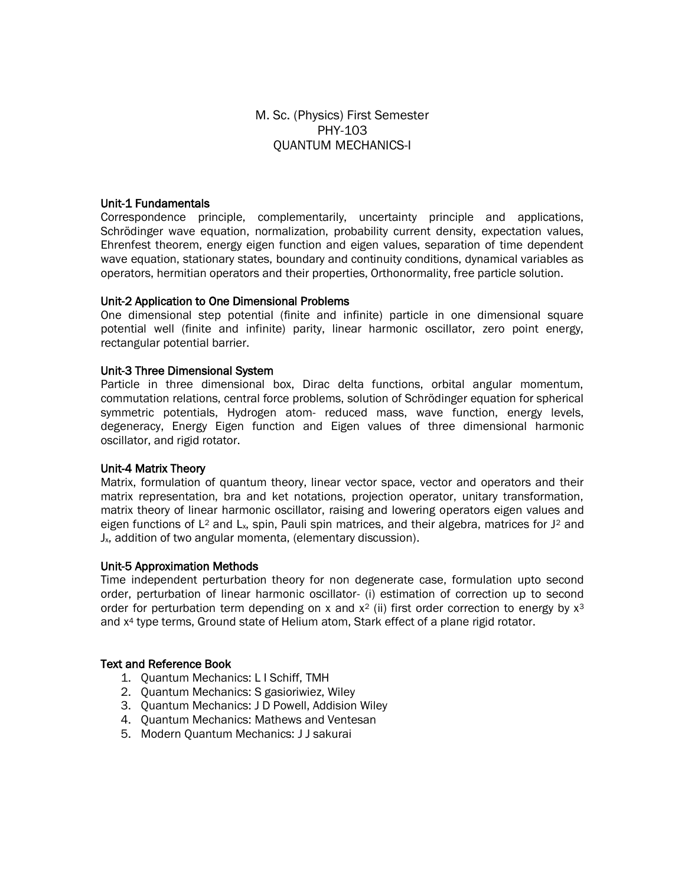### M. Sc. (Physics) First Semester PHY-103 QUANTUM MECHANICS-I

### Unit-1 Fundamentals

Correspondence principle, complementarily, uncertainty principle and applications, Schrödinger wave equation, normalization, probability current density, expectation values, Ehrenfest theorem, energy eigen function and eigen values, separation of time dependent wave equation, stationary states, boundary and continuity conditions, dynamical variables as operators, hermitian operators and their properties, Orthonormality, free particle solution.

#### Unit-2 Application to One Dimensional Problems

One dimensional step potential (finite and infinite) particle in one dimensional square potential well (finite and infinite) parity, linear harmonic oscillator, zero point energy, rectangular potential barrier.

#### Unit-3 Three Dimensional System

Particle in three dimensional box, Dirac delta functions, orbital angular momentum, commutation relations, central force problems, solution of Schrödinger equation for spherical symmetric potentials, Hydrogen atom- reduced mass, wave function, energy levels, degeneracy, Energy Eigen function and Eigen values of three dimensional harmonic oscillator, and rigid rotator.

### Unit-4 Matrix Theory

Matrix, formulation of quantum theory, linear vector space, vector and operators and their matrix representation, bra and ket notations, projection operator, unitary transformation, matrix theory of linear harmonic oscillator, raising and lowering operators eigen values and eigen functions of L<sup>2</sup> and L<sub>x</sub>, spin, Pauli spin matrices, and their algebra, matrices for  $J^2$  and Jx, addition of two angular momenta, (elementary discussion).

#### Unit-5 Approximation Methods

Time independent perturbation theory for non degenerate case, formulation upto second order, perturbation of linear harmonic oscillator- (i) estimation of correction up to second order for perturbation term depending on x and  $x^2$  (ii) first order correction to energy by  $x^3$ and x<sup>4</sup> type terms, Ground state of Helium atom, Stark effect of a plane rigid rotator.

- 1. Quantum Mechanics: L I Schiff, TMH
- 2. Quantum Mechanics: S gasioriwiez, Wiley
- 3. Quantum Mechanics: J D Powell, Addision Wiley
- 4. Quantum Mechanics: Mathews and Ventesan
- 5. Modern Quantum Mechanics: J J sakurai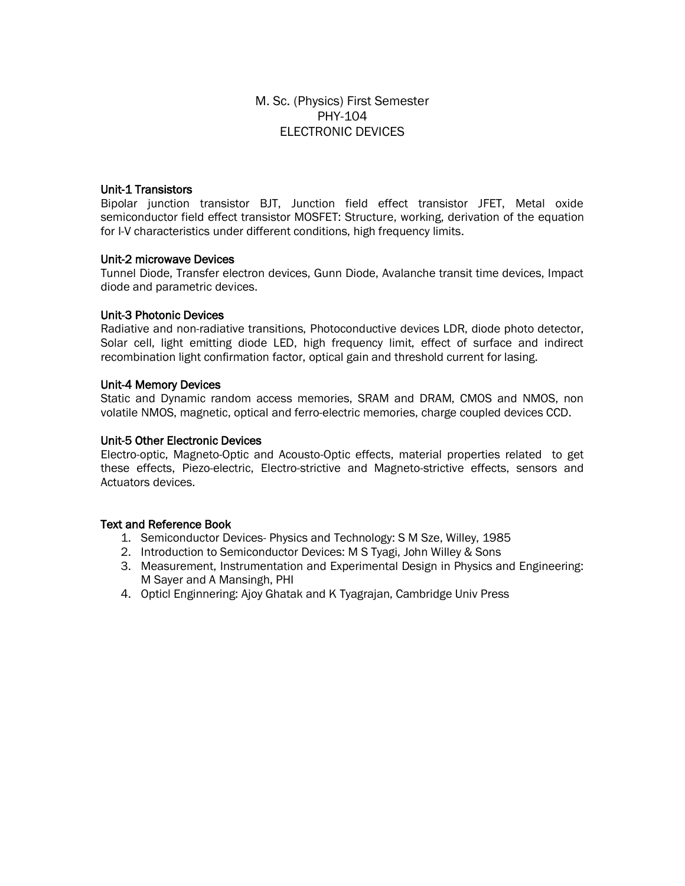### M. Sc. (Physics) First Semester PHY-104 ELECTRONIC DEVICES

### Unit-1 Transistors

Bipolar junction transistor BJT, Junction field effect transistor JFET, Metal oxide semiconductor field effect transistor MOSFET: Structure, working, derivation of the equation for I-V characteristics under different conditions, high frequency limits.

### Unit-2 microwave Devices

Tunnel Diode, Transfer electron devices, Gunn Diode, Avalanche transit time devices, Impact diode and parametric devices.

### Unit-3 Photonic Devices

Radiative and non-radiative transitions, Photoconductive devices LDR, diode photo detector, Solar cell, light emitting diode LED, high frequency limit, effect of surface and indirect recombination light confirmation factor, optical gain and threshold current for lasing.

### Unit-4 Memory Devices

Static and Dynamic random access memories, SRAM and DRAM, CMOS and NMOS, non volatile NMOS, magnetic, optical and ferro-electric memories, charge coupled devices CCD.

### Unit-5 Other Electronic Devices

Electro-optic, Magneto-Optic and Acousto-Optic effects, material properties related to get these effects, Piezo-electric, Electro-strictive and Magneto-strictive effects, sensors and Actuators devices.

- 1. Semiconductor Devices- Physics and Technology: S M Sze, Willey, 1985
- 2. Introduction to Semiconductor Devices: M S Tyagi, John Willey & Sons
- 3. Measurement, Instrumentation and Experimental Design in Physics and Engineering: M Sayer and A Mansingh, PHI
- 4. Opticl Enginnering: Ajoy Ghatak and K Tyagrajan, Cambridge Univ Press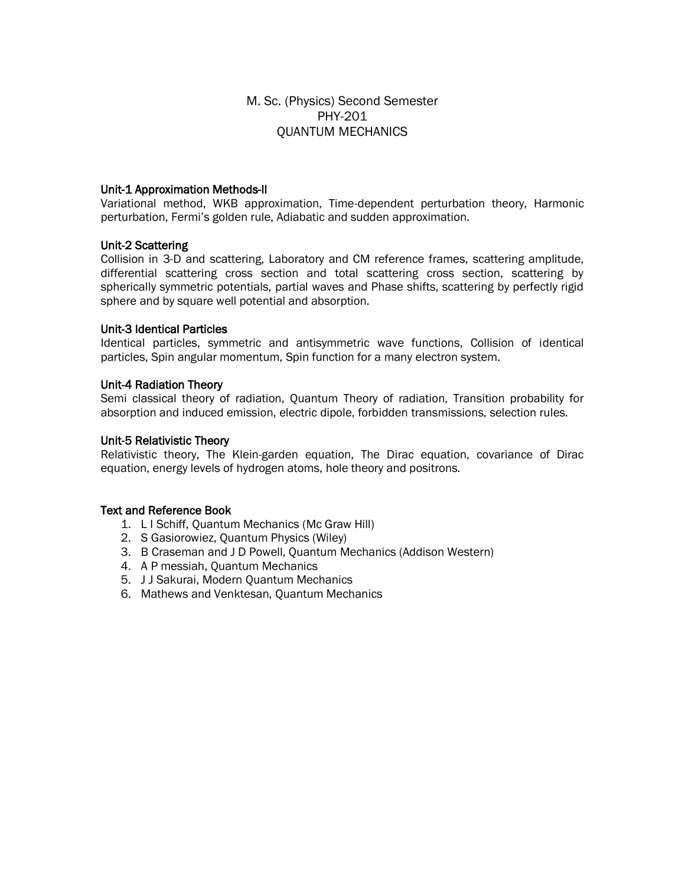### M. Sc. (Physics) Second Semester PHY-201 QUANTUM MECHANICS

### Unit-1 Approximation Methods-II

Variational method, WKB approximation, Time-dependent perturbation theory, Harmonic perturbation, Fermi's golden rule, Adiabatic and sudden approximation.

#### Unit-2 Scattering

Collision in 3-D and scattering, Laboratory and CM reference frames, scattering amplitude, differential scattering cross section and total scattering cross section, scattering by spherically symmetric potentials, partial waves and Phase shifts, scattering by perfectly rigid sphere and by square well potential and absorption.

#### Unit-3 Identical Particles

Identical particles, symmetric and antisymmetric wave functions, Collision of identical particles, Spin angular momentum, Spin function for a many electron system.

#### Unit-4 Radiation Theory

Semi classical theory of radiation, Quantum Theory of radiation, Transition probability for absorption and induced emission, electric dipole, forbidden transmissions, selection rules.

#### Unit-5 Relativistic Theory

Relativistic theory, The Klein-garden equation, The Dirac equation, covariance of Dirac equation, energy levels of hydrogen atoms, hole theory and positrons.

- 1. L I Schiff, Quantum Mechanics (Mc Graw Hill)
- 2. S Gasiorowiez, Quantum Physics (Wiley)
- 3. B Craseman and J D Powell, Quantum Mechanics (Addison Western)
- 4. A P messiah, Quantum Mechanics
- 5. J J Sakurai, Modern Quantum Mechanics
- 6. Mathews and Venktesan, Quantum Mechanics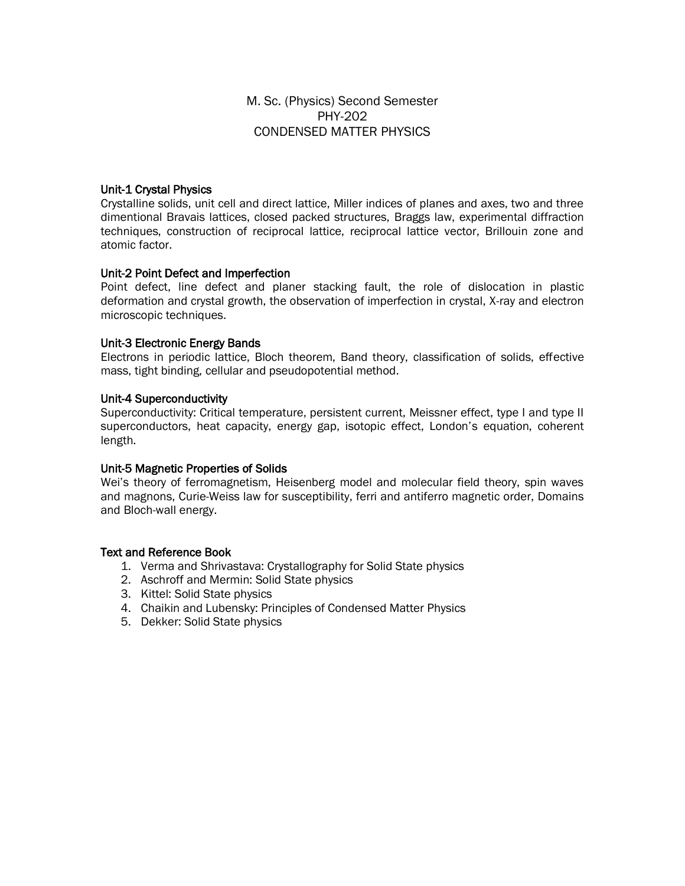M. Sc. (Physics) Second Semester PHY-202 CONDENSED MATTER PHYSICS

### Unit-1 Crystal Physics

Crystalline solids, unit cell and direct lattice, Miller indices of planes and axes, two and three dimentional Bravais lattices, closed packed structures, Braggs law, experimental diffraction techniques, construction of reciprocal lattice, reciprocal lattice vector, Brillouin zone and atomic factor.

### Unit-2 Point Defect and Imperfection

Point defect, line defect and planer stacking fault, the role of dislocation in plastic deformation and crystal growth, the observation of imperfection in crystal, X-ray and electron microscopic techniques.

### Unit-3 Electronic Energy Bands

Electrons in periodic lattice, Bloch theorem, Band theory, classification of solids, effective mass, tight binding, cellular and pseudopotential method.

#### Unit-4 Superconductivity

Superconductivity: Critical temperature, persistent current, Meissner effect, type I and type II superconductors, heat capacity, energy gap, isotopic effect, London's equation, coherent length.

### Unit-5 Magnetic Properties of Solids

Wei's theory of ferromagnetism, Heisenberg model and molecular field theory, spin waves and magnons, Curie-Weiss law for susceptibility, ferri and antiferro magnetic order, Domains and Bloch-wall energy.

- 1. Verma and Shrivastava: Crystallography for Solid State physics
- 2. Aschroff and Mermin: Solid State physics
- 3. Kittel: Solid State physics
- 4. Chaikin and Lubensky: Principles of Condensed Matter Physics
- 5. Dekker: Solid State physics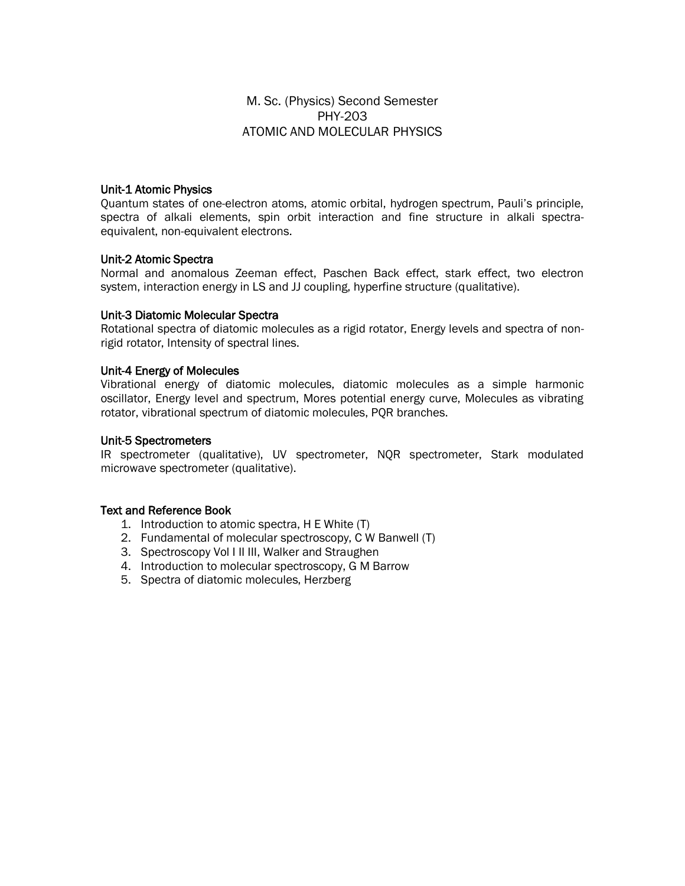### M. Sc. (Physics) Second Semester PHY-203 ATOMIC AND MOLECULAR PHYSICS

### Unit-1 Atomic Physics

Quantum states of one-electron atoms, atomic orbital, hydrogen spectrum, Pauli's principle, spectra of alkali elements, spin orbit interaction and fine structure in alkali spectraequivalent, non-equivalent electrons.

#### Unit-2 Atomic Spectra

Normal and anomalous Zeeman effect, Paschen Back effect, stark effect, two electron system, interaction energy in LS and JJ coupling, hyperfine structure (qualitative).

#### Unit-3 Diatomic Molecular Spectra

Rotational spectra of diatomic molecules as a rigid rotator, Energy levels and spectra of nonrigid rotator, Intensity of spectral lines.

#### Unit-4 Energy of Molecules

Vibrational energy of diatomic molecules, diatomic molecules as a simple harmonic oscillator, Energy level and spectrum, Mores potential energy curve, Molecules as vibrating rotator, vibrational spectrum of diatomic molecules, PQR branches.

#### Unit-5 Spectrometers

IR spectrometer (qualitative), UV spectrometer, NQR spectrometer, Stark modulated microwave spectrometer (qualitative).

- 1. Introduction to atomic spectra, H E White (T)
- 2. Fundamental of molecular spectroscopy, C W Banwell (T)
- 3. Spectroscopy Vol I II III, Walker and Straughen
- 4. Introduction to molecular spectroscopy, G M Barrow
- 5. Spectra of diatomic molecules, Herzberg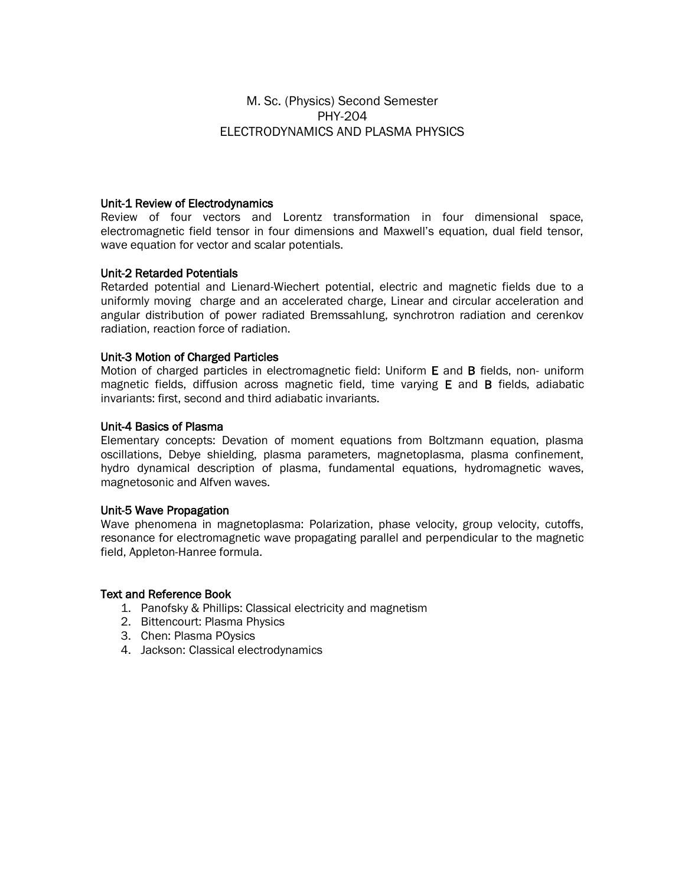### M. Sc. (Physics) Second Semester PHY-204 ELECTRODYNAMICS AND PLASMA PHYSICS

#### Unit-1 Review of Electrodynamics

Review of four vectors and Lorentz transformation in four dimensional space, electromagnetic field tensor in four dimensions and Maxwell's equation, dual field tensor, wave equation for vector and scalar potentials.

### Unit-2 Retarded Potentials

Retarded potential and Lienard-Wiechert potential, electric and magnetic fields due to a uniformly moving charge and an accelerated charge, Linear and circular acceleration and angular distribution of power radiated Bremssahlung, synchrotron radiation and cerenkov radiation, reaction force of radiation.

#### Unit-3 Motion of Charged Particles

Motion of charged particles in electromagnetic field: Uniform E and B fields, non- uniform magnetic fields, diffusion across magnetic field, time varying E and B fields, adiabatic invariants: first, second and third adiabatic invariants.

#### Unit-4 Basics of Plasma

Elementary concepts: Devation of moment equations from Boltzmann equation, plasma oscillations, Debye shielding, plasma parameters, magnetoplasma, plasma confinement, hydro dynamical description of plasma, fundamental equations, hydromagnetic waves, magnetosonic and Alfven waves.

#### Unit-5 Wave Propagation

Wave phenomena in magnetoplasma: Polarization, phase velocity, group velocity, cutoffs, resonance for electromagnetic wave propagating parallel and perpendicular to the magnetic field, Appleton-Hanree formula.

- 1. Panofsky & Phillips: Classical electricity and magnetism
- 2. Bittencourt: Plasma Physics
- 3. Chen: Plasma POysics
- 4. Jackson: Classical electrodynamics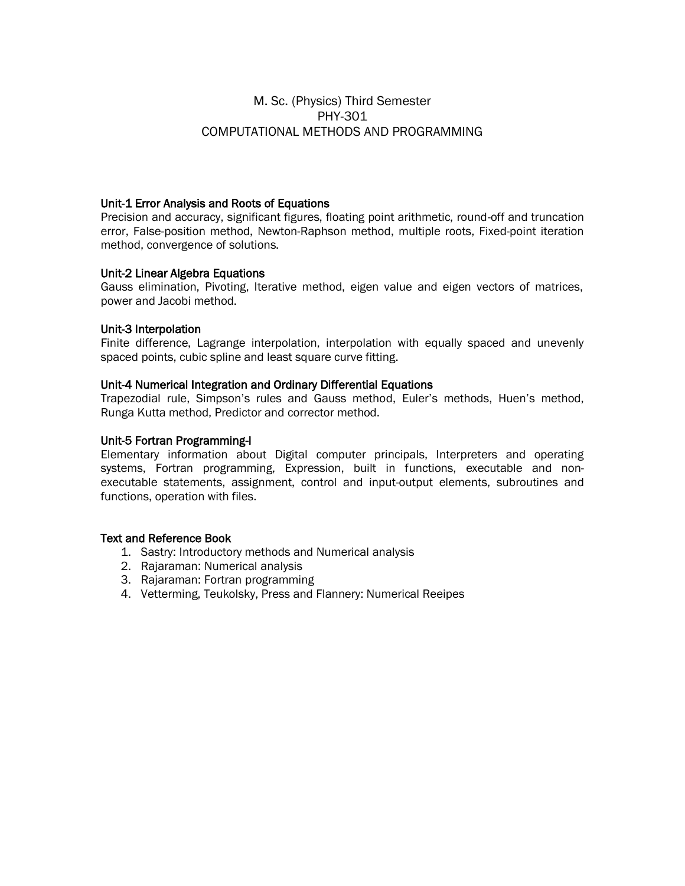### M. Sc. (Physics) Third Semester PHY-301 COMPUTATIONAL METHODS AND PROGRAMMING

### Unit-1 Error Analysis and Roots of Equations

Precision and accuracy, significant figures, floating point arithmetic, round-off and truncation error, False-position method, Newton-Raphson method, multiple roots, Fixed-point iteration method, convergence of solutions.

### Unit-2 Linear Algebra Equations

Gauss elimination, Pivoting, Iterative method, eigen value and eigen vectors of matrices, power and Jacobi method.

### Unit-3 Interpolation

Finite difference, Lagrange interpolation, interpolation with equally spaced and unevenly spaced points, cubic spline and least square curve fitting.

### Unit-4 Numerical Integration and Ordinary Differential Equations

Trapezodial rule, Simpson's rules and Gauss method, Euler's methods, Huen's method, Runga Kutta method, Predictor and corrector method.

### Unit-5 Fortran Programming-I

Elementary information about Digital computer principals, Interpreters and operating systems, Fortran programming, Expression, built in functions, executable and nonexecutable statements, assignment, control and input-output elements, subroutines and functions, operation with files.

- 1. Sastry: Introductory methods and Numerical analysis
- 2. Rajaraman: Numerical analysis
- 3. Rajaraman: Fortran programming
- 4. Vetterming, Teukolsky, Press and Flannery: Numerical Reeipes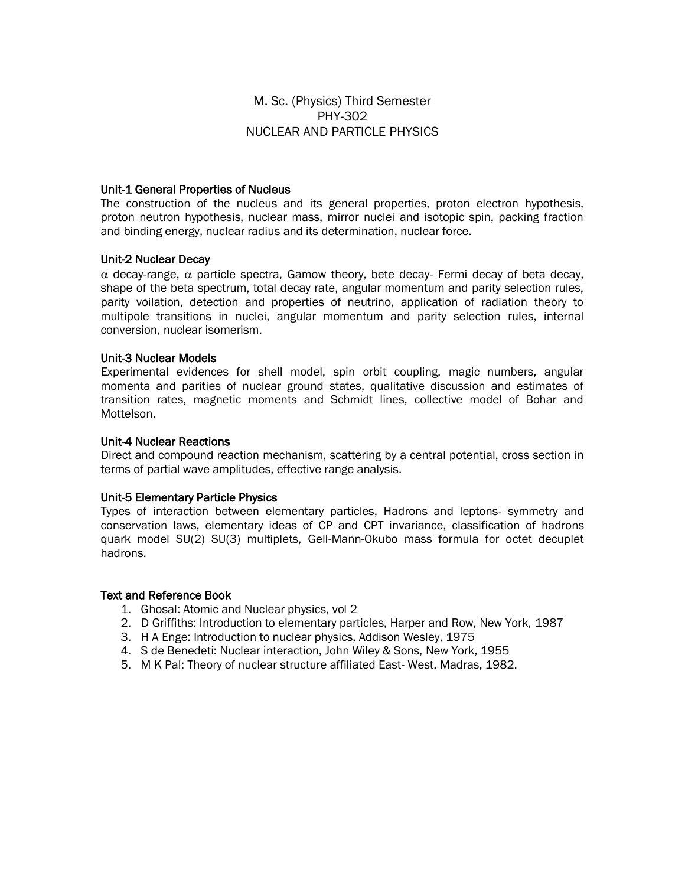### M. Sc. (Physics) Third Semester PHY-302 NUCLEAR AND PARTICLE PHYSICS

#### Unit-1 General Properties of Nucleus

The construction of the nucleus and its general properties, proton electron hypothesis, proton neutron hypothesis, nuclear mass, mirror nuclei and isotopic spin, packing fraction and binding energy, nuclear radius and its determination, nuclear force.

#### Unit-2 Nuclear Decay

 $\alpha$  decay-range,  $\alpha$  particle spectra, Gamow theory, bete decay- Fermi decay of beta decay, shape of the beta spectrum, total decay rate, angular momentum and parity selection rules, parity voilation, detection and properties of neutrino, application of radiation theory to multipole transitions in nuclei, angular momentum and parity selection rules, internal conversion, nuclear isomerism.

#### Unit-3 Nuclear Models

Experimental evidences for shell model, spin orbit coupling, magic numbers, angular momenta and parities of nuclear ground states, qualitative discussion and estimates of transition rates, magnetic moments and Schmidt lines, collective model of Bohar and Mottelson.

#### Unit-4 Nuclear Reactions

Direct and compound reaction mechanism, scattering by a central potential, cross section in terms of partial wave amplitudes, effective range analysis.

#### Unit-5 Elementary Particle Physics

Types of interaction between elementary particles, Hadrons and leptons- symmetry and conservation laws, elementary ideas of CP and CPT invariance, classification of hadrons quark model SU(2) SU(3) multiplets, Gell-Mann-Okubo mass formula for octet decuplet hadrons.

- 1. Ghosal: Atomic and Nuclear physics, vol 2
- 2. D Griffiths: Introduction to elementary particles, Harper and Row, New York, 1987
- 3. H A Enge: Introduction to nuclear physics, Addison Wesley, 1975
- 4. S de Benedeti: Nuclear interaction, John Wiley & Sons, New York, 1955
- 5. M K Pal: Theory of nuclear structure affiliated East- West, Madras, 1982.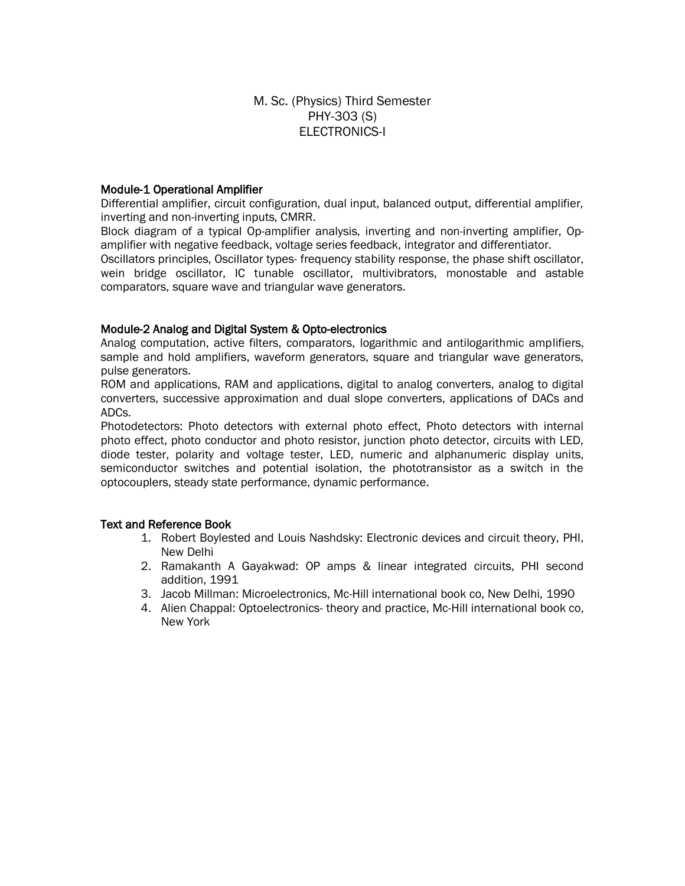### M. Sc. (Physics) Third Semester PHY-303 (S) ELECTRONICS-I

### Module-1 Operational Amplifier

Differential amplifier, circuit configuration, dual input, balanced output, differential amplifier, inverting and non-inverting inputs, CMRR.

Block diagram of a typical Op-amplifier analysis, inverting and non-inverting amplifier, Opamplifier with negative feedback, voltage series feedback, integrator and differentiator.

Oscillators principles, Oscillator types- frequency stability response, the phase shift oscillator, wein bridge oscillator, IC tunable oscillator, multivibrators, monostable and astable comparators, square wave and triangular wave generators.

### Module-2 Analog and Digital System & Opto-electronics

Analog computation, active filters, comparators, logarithmic and antilogarithmic amplifiers, sample and hold amplifiers, waveform generators, square and triangular wave generators, pulse generators.

ROM and applications, RAM and applications, digital to analog converters, analog to digital converters, successive approximation and dual slope converters, applications of DACs and ADCs.

Photodetectors: Photo detectors with external photo effect, Photo detectors with internal photo effect, photo conductor and photo resistor, junction photo detector, circuits with LED, diode tester, polarity and voltage tester, LED, numeric and alphanumeric display units, semiconductor switches and potential isolation, the phototransistor as a switch in the optocouplers, steady state performance, dynamic performance.

- 1. Robert Boylested and Louis Nashdsky: Electronic devices and circuit theory, PHI, New Delhi
- 2. Ramakanth A Gayakwad: OP amps & linear integrated circuits, PHI second addition, 1991
- 3. Jacob Millman: Microelectronics, Mc-Hill international book co, New Delhi, 1990
- 4. Alien Chappal: Optoelectronics- theory and practice, Mc-Hill international book co, New York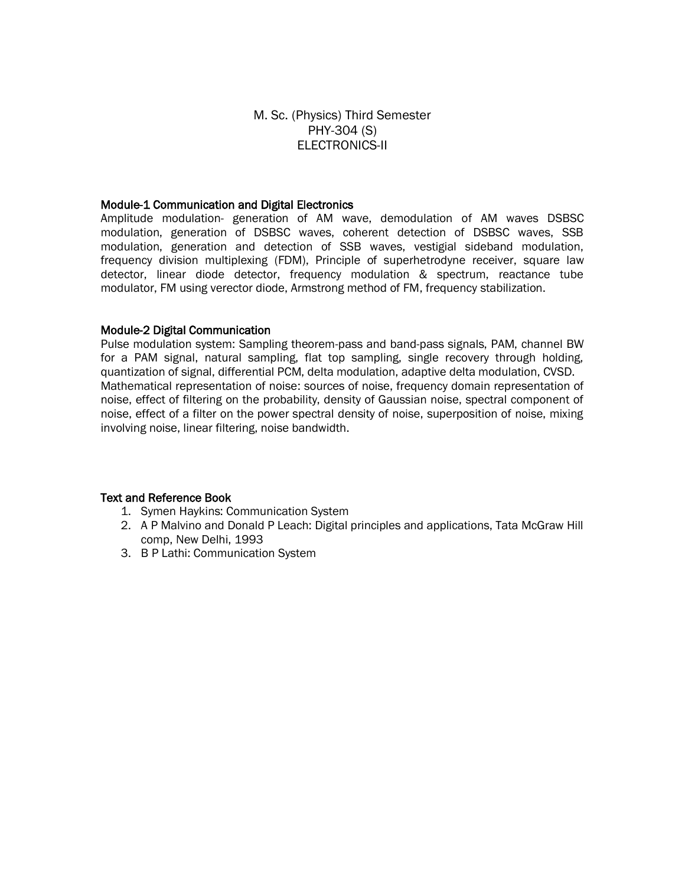### M. Sc. (Physics) Third Semester PHY-304 (S) ELECTRONICS-II

#### Module-1 Communication and Digital Electronics

Amplitude modulation- generation of AM wave, demodulation of AM waves DSBSC modulation, generation of DSBSC waves, coherent detection of DSBSC waves, SSB modulation, generation and detection of SSB waves, vestigial sideband modulation, frequency division multiplexing (FDM), Principle of superhetrodyne receiver, square law detector, linear diode detector, frequency modulation & spectrum, reactance tube modulator, FM using verector diode, Armstrong method of FM, frequency stabilization.

#### Module-2 Digital Communication

Pulse modulation system: Sampling theorem-pass and band-pass signals, PAM, channel BW for a PAM signal, natural sampling, flat top sampling, single recovery through holding, quantization of signal, differential PCM, delta modulation, adaptive delta modulation, CVSD. Mathematical representation of noise: sources of noise, frequency domain representation of noise, effect of filtering on the probability, density of Gaussian noise, spectral component of noise, effect of a filter on the power spectral density of noise, superposition of noise, mixing involving noise, linear filtering, noise bandwidth.

- 1. Symen Haykins: Communication System
- 2. A P Malvino and Donald P Leach: Digital principles and applications, Tata McGraw Hill comp, New Delhi, 1993
- 3. B P Lathi: Communication System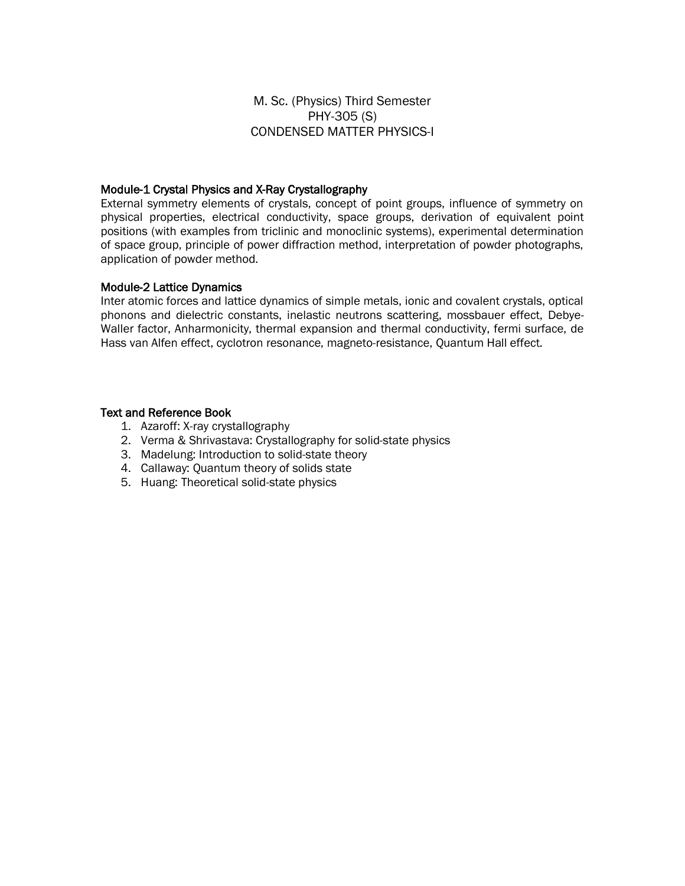M. Sc. (Physics) Third Semester PHY-305 (S) CONDENSED MATTER PHYSICS-I

#### Module-1 Crystal Physics and X-Ray Crystallography

External symmetry elements of crystals, concept of point groups, influence of symmetry on physical properties, electrical conductivity, space groups, derivation of equivalent point positions (with examples from triclinic and monoclinic systems), experimental determination of space group, principle of power diffraction method, interpretation of powder photographs, application of powder method.

#### Module-2 Lattice Dynamics

Inter atomic forces and lattice dynamics of simple metals, ionic and covalent crystals, optical phonons and dielectric constants, inelastic neutrons scattering, mossbauer effect, Debye-Waller factor, Anharmonicity, thermal expansion and thermal conductivity, fermi surface, de Hass van Alfen effect, cyclotron resonance, magneto-resistance, Quantum Hall effect.

- 1. Azaroff: X-ray crystallography
- 2. Verma & Shrivastava: Crystallography for solid-state physics
- 3. Madelung: Introduction to solid-state theory
- 4. Callaway: Quantum theory of solids state
- 5. Huang: Theoretical solid-state physics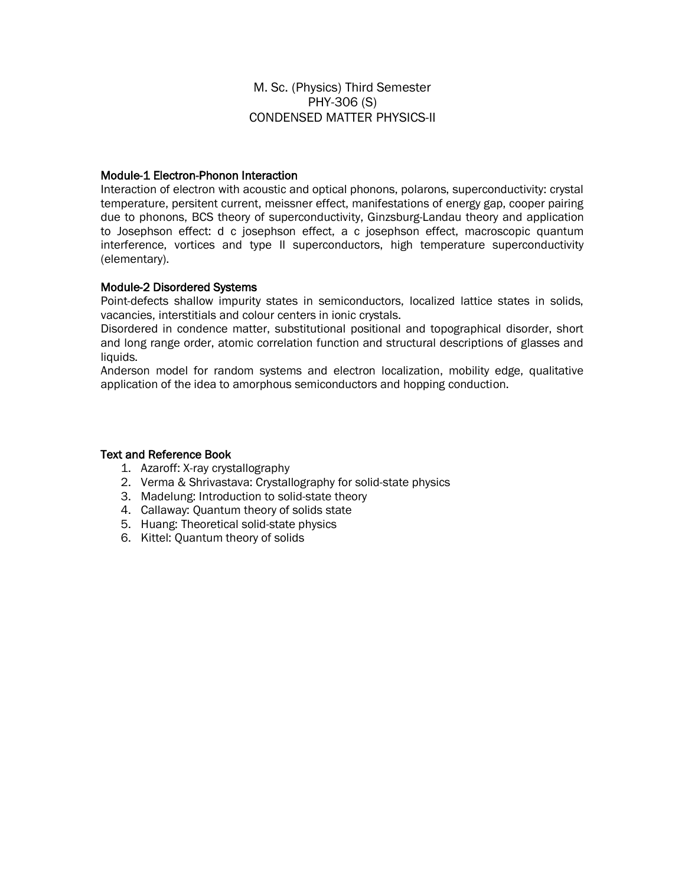M. Sc. (Physics) Third Semester PHY-306 (S) CONDENSED MATTER PHYSICS-II

### Module-1 Electron-Phonon Interaction

Interaction of electron with acoustic and optical phonons, polarons, superconductivity: crystal temperature, persitent current, meissner effect, manifestations of energy gap, cooper pairing due to phonons, BCS theory of superconductivity, Ginzsburg-Landau theory and application to Josephson effect: d c josephson effect, a c josephson effect, macroscopic quantum interference, vortices and type II superconductors, high temperature superconductivity (elementary).

### Module-2 Disordered Systems

Point-defects shallow impurity states in semiconductors, localized lattice states in solids, vacancies, interstitials and colour centers in ionic crystals.

Disordered in condence matter, substitutional positional and topographical disorder, short and long range order, atomic correlation function and structural descriptions of glasses and liquids.

Anderson model for random systems and electron localization, mobility edge, qualitative application of the idea to amorphous semiconductors and hopping conduction.

- 1. Azaroff: X-ray crystallography
- 2. Verma & Shrivastava: Crystallography for solid-state physics
- 3. Madelung: Introduction to solid-state theory
- 4. Callaway: Quantum theory of solids state
- 5. Huang: Theoretical solid-state physics
- 6. Kittel: Quantum theory of solids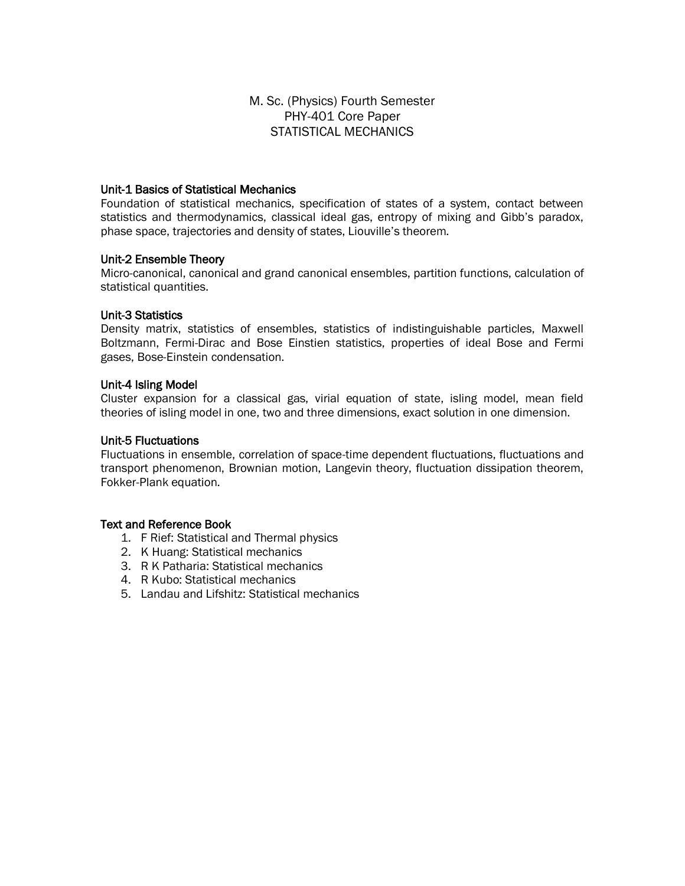### M. Sc. (Physics) Fourth Semester PHY-401 Core Paper STATISTICAL MECHANICS

### Unit-1 Basics of Statistical Mechanics

Foundation of statistical mechanics, specification of states of a system, contact between statistics and thermodynamics, classical ideal gas, entropy of mixing and Gibb's paradox, phase space, trajectories and density of states, Liouville's theorem.

#### Unit-2 Ensemble Theory

Micro-canonical, canonical and grand canonical ensembles, partition functions, calculation of statistical quantities.

#### Unit-3 Statistics

Density matrix, statistics of ensembles, statistics of indistinguishable particles, Maxwell Boltzmann, Fermi-Dirac and Bose Einstien statistics, properties of ideal Bose and Fermi gases, Bose-Einstein condensation.

#### Unit-4 Isling Model

Cluster expansion for a classical gas, virial equation of state, isling model, mean field theories of isling model in one, two and three dimensions, exact solution in one dimension.

#### Unit-5 Fluctuations

Fluctuations in ensemble, correlation of space-time dependent fluctuations, fluctuations and transport phenomenon, Brownian motion, Langevin theory, fluctuation dissipation theorem, Fokker-Plank equation.

- 1. F Rief: Statistical and Thermal physics
- 2. K Huang: Statistical mechanics
- 3. R K Patharia: Statistical mechanics
- 4. R Kubo: Statistical mechanics
- 5. Landau and Lifshitz: Statistical mechanics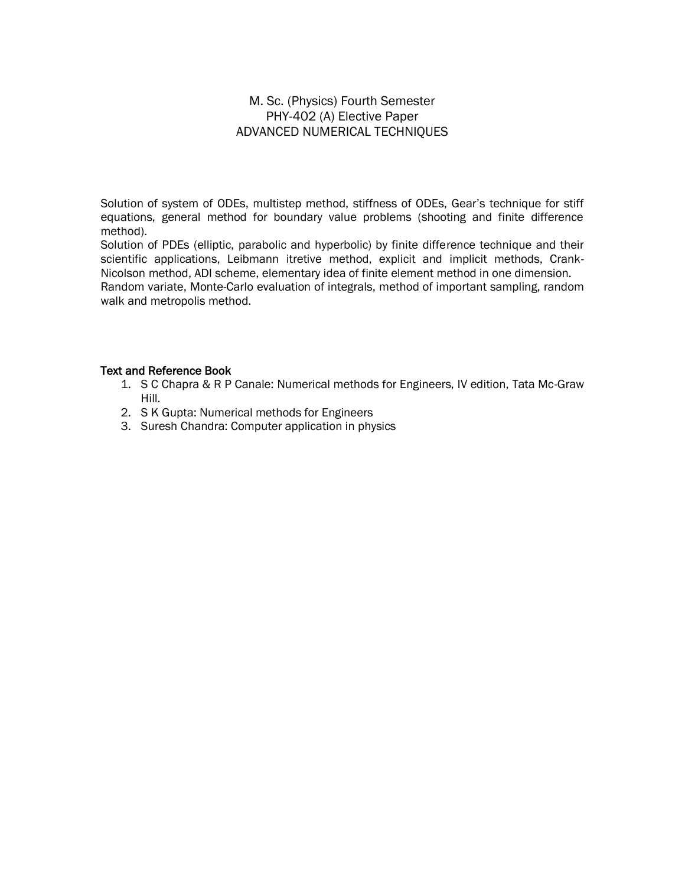### M. Sc. (Physics) Fourth Semester PHY-402 (A) Elective Paper ADVANCED NUMERICAL TECHNIQUES

Solution of system of ODEs, multistep method, stiffness of ODEs, Gear's technique for stiff equations, general method for boundary value problems (shooting and finite difference method).

Solution of PDEs (elliptic, parabolic and hyperbolic) by finite difference technique and their scientific applications, Leibmann itretive method, explicit and implicit methods, Crank-Nicolson method, ADI scheme, elementary idea of finite element method in one dimension. Random variate, Monte-Carlo evaluation of integrals, method of important sampling, random walk and metropolis method.

- 1. S C Chapra & R P Canale: Numerical methods for Engineers, IV edition, Tata Mc-Graw Hill.
- 2. S K Gupta: Numerical methods for Engineers
- 3. Suresh Chandra: Computer application in physics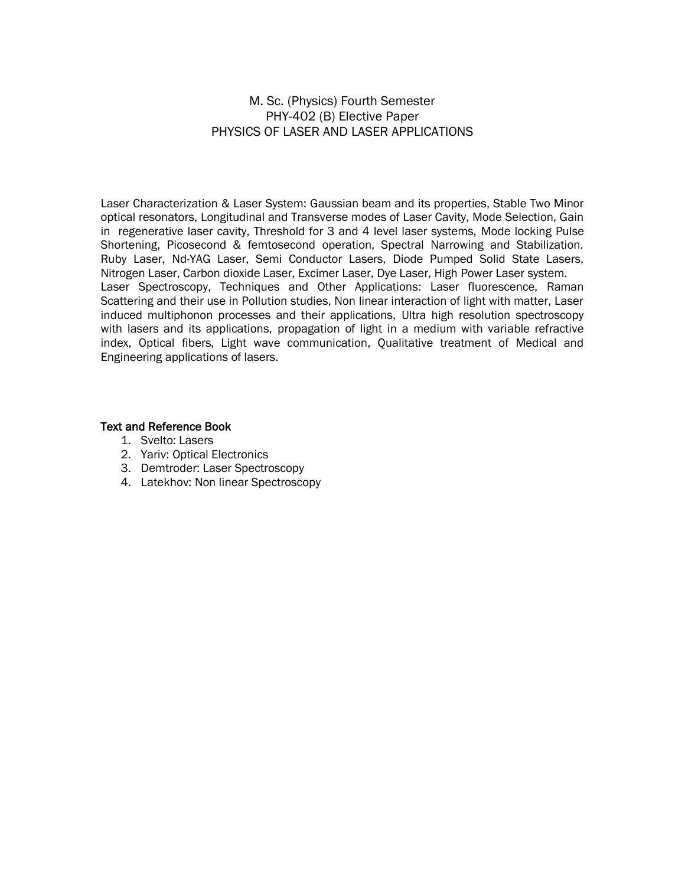### M. Sc. (Physics) Fourth Semester PHY-402 (B) Elective Paper PHYSICS OF LASER AND LASER APPLICATIONS

Laser Characterization & Laser System: Gaussian beam and its properties, Stable Two Minor optical resonators, Longitudinal and Transverse modes of Laser Cavity, Mode Selection, Gain in regenerative laser cavity, Threshold for 3 and 4 level laser systems, Mode locking Pulse Shortening, Picosecond & femtosecond operation, Spectral Narrowing and Stabilization. Ruby Laser, Nd-YAG Laser, Semi Conductor Lasers, Diode Pumped Solid State Lasers, Nitrogen Laser, Carbon dioxide Laser, Excimer Laser, Dye Laser, High Power Laser system. Laser Spectroscopy, Techniques and Other Applications: Laser fluorescence, Raman Scattering and their use in Pollution studies, Non linear interaction of light with matter, Laser induced multiphonon processes and their applications, Ultra high resolution spectroscopy with lasers and its applications, propagation of light in a medium with variable refractive index, Optical fibers, Light wave communication, Qualitative treatment of Medical and Engineering applications of lasers.

- 1. Svelto: Lasers
- 2. Yariv: Optical Electronics
- 3. Demtroder: Laser Spectroscopy
- 4. Latekhov: Non linear Spectroscopy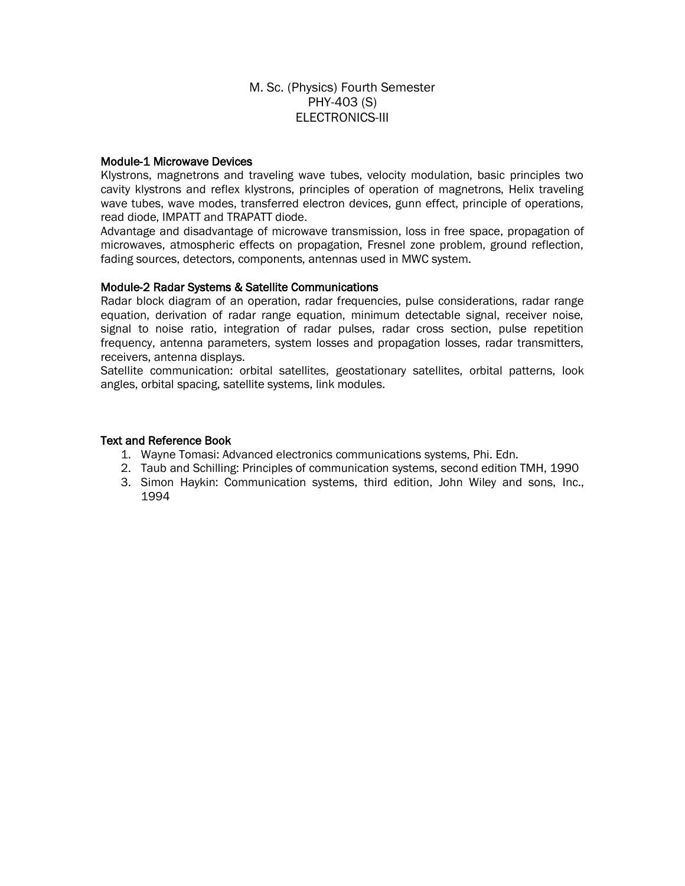### M. Sc. (Physics) Fourth Semester PHY-403 (S) ELECTRONICS-III

### Module-1 Microwave Devices

Klystrons, magnetrons and traveling wave tubes, velocity modulation, basic principles two cavity klystrons and reflex klystrons, principles of operation of magnetrons, Helix traveling wave tubes, wave modes, transferred electron devices, gunn effect, principle of operations, read diode, IMPATT and TRAPATT diode.

Advantage and disadvantage of microwave transmission, loss in free space, propagation of microwaves, atmospheric effects on propagation, Fresnel zone problem, ground reflection, fading sources, detectors, components, antennas used in MWC system.

#### Module-2 Radar Systems & Satellite Communications

Radar block diagram of an operation, radar frequencies, pulse considerations, radar range equation, derivation of radar range equation, minimum detectable signal, receiver noise, signal to noise ratio, integration of radar pulses, radar cross section, pulse repetition frequency, antenna parameters, system losses and propagation losses, radar transmitters, receivers, antenna displays.

Satellite communication: orbital satellites, geostationary satellites, orbital patterns, look angles, orbital spacing, satellite systems, link modules.

- 1. Wayne Tomasi: Advanced electronics communications systems, Phi. Edn.
- 2. Taub and Schilling: Principles of communication systems, second edition TMH, 1990
- 3. Simon Haykin: Communication systems, third edition, John Wiley and sons, Inc., 1994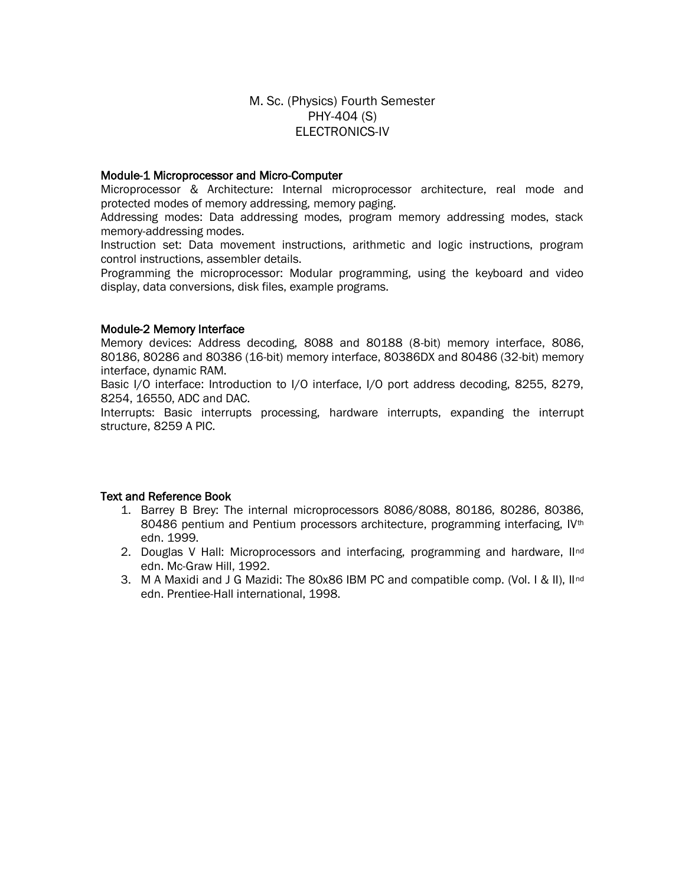### M. Sc. (Physics) Fourth Semester PHY-404 (S) ELECTRONICS-IV

### Module-1 Microprocessor and Micro-Computer

Microprocessor & Architecture: Internal microprocessor architecture, real mode and protected modes of memory addressing, memory paging.

Addressing modes: Data addressing modes, program memory addressing modes, stack memory-addressing modes.

Instruction set: Data movement instructions, arithmetic and logic instructions, program control instructions, assembler details.

Programming the microprocessor: Modular programming, using the keyboard and video display, data conversions, disk files, example programs.

#### Module-2 Memory Interface

Memory devices: Address decoding, 8088 and 80188 (8-bit) memory interface, 8086, 80186, 80286 and 80386 (16-bit) memory interface, 80386DX and 80486 (32-bit) memory interface, dynamic RAM.

Basic I/O interface: Introduction to I/O interface, I/O port address decoding, 8255, 8279, 8254, 16550, ADC and DAC.

Interrupts: Basic interrupts processing, hardware interrupts, expanding the interrupt structure, 8259 A PIC.

- 1. Barrey B Brey: The internal microprocessors 8086/8088, 80186, 80286, 80386, 80486 pentium and Pentium processors architecture, programming interfacing, IV<sup>th</sup> edn. 1999.
- 2. Douglas V Hall: Microprocessors and interfacing, programming and hardware,  $II<sup>nd</sup>$ edn. Mc-Graw Hill, 1992.
- 3. M A Maxidi and J G Mazidi: The 80x86 IBM PC and compatible comp. (Vol. I & II), IInd edn. Prentiee-Hall international, 1998.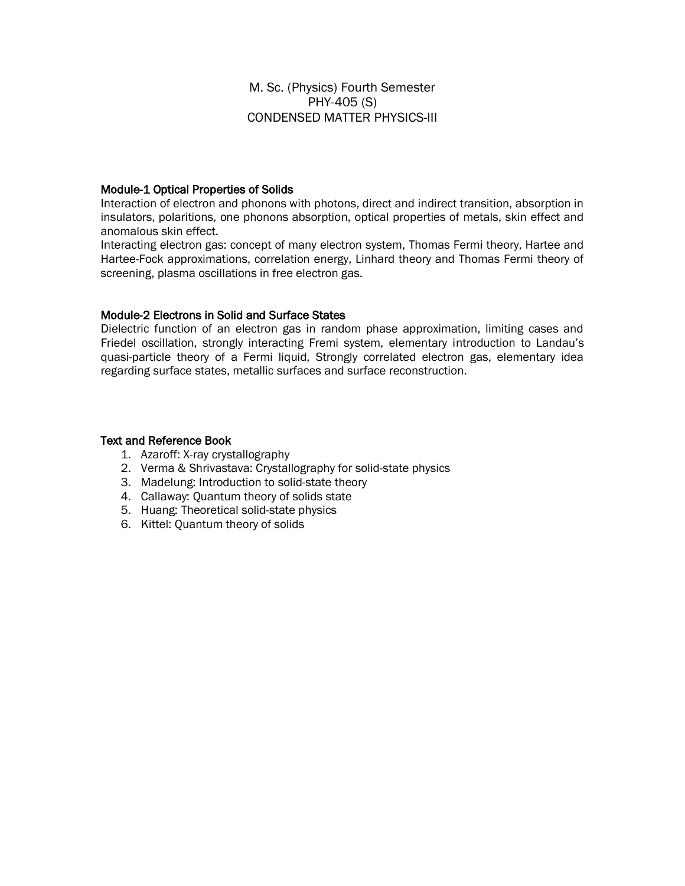M. Sc. (Physics) Fourth Semester PHY-405 (S) CONDENSED MATTER PHYSICS-III

### Module-1 Optical Properties of Solids

Interaction of electron and phonons with photons, direct and indirect transition, absorption in insulators, polaritions, one phonons absorption, optical properties of metals, skin effect and anomalous skin effect.

Interacting electron gas: concept of many electron system, Thomas Fermi theory, Hartee and Hartee-Fock approximations, correlation energy, Linhard theory and Thomas Fermi theory of screening, plasma oscillations in free electron gas.

### Module-2 Electrons in Solid and Surface States

Dielectric function of an electron gas in random phase approximation, limiting cases and Friedel oscillation, strongly interacting Fremi system, elementary introduction to Landau's quasi-particle theory of a Fermi liquid, Strongly correlated electron gas, elementary idea regarding surface states, metallic surfaces and surface reconstruction.

- 1. Azaroff: X-ray crystallography
- 2. Verma & Shrivastava: Crystallography for solid-state physics
- 3. Madelung: Introduction to solid-state theory
- 4. Callaway: Quantum theory of solids state
- 5. Huang: Theoretical solid-state physics
- 6. Kittel: Quantum theory of solids